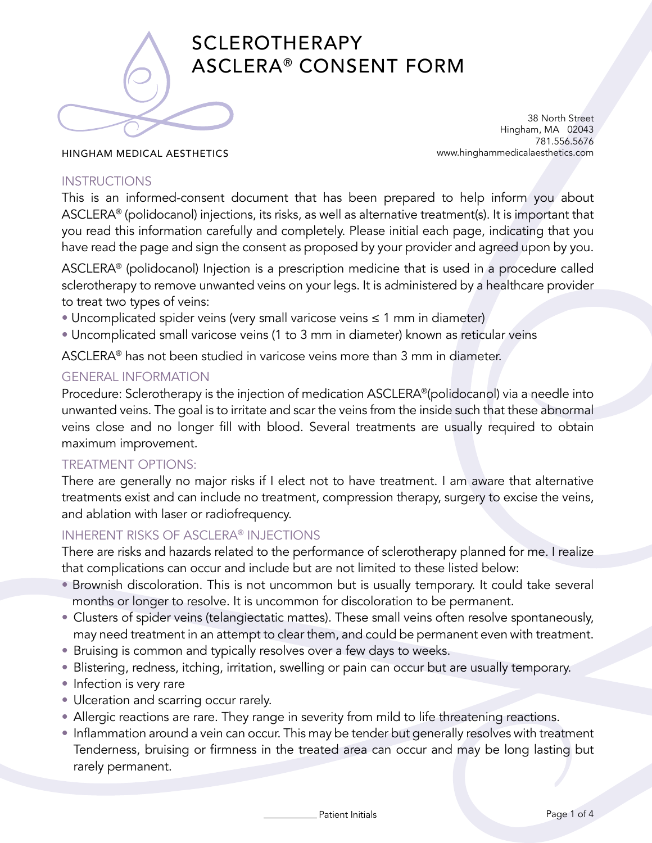

# SCLEROTHERAPY ASCLERA® CONSENT FORM

38 North Street Hingham, MA 02043 781.556.5676 www.hinghammedicalaesthetics.com

#### HINGHAM MEDICAL AESTHETICS

### INSTRUCTIONS

This is an informed-consent document that has been prepared to help inform you about ASCLERA® (polidocanol) injections, its risks, as well as alternative treatment(s). It is important that you read this information carefully and completely. Please initial each page, indicating that you have read the page and sign the consent as proposed by your provider and agreed upon by you.

ASCLERA® (polidocanol) Injection is a prescription medicine that is used in a procedure called sclerotherapy to remove unwanted veins on your legs. It is administered by a healthcare provider to treat two types of veins:

- Uncomplicated spider veins (very small varicose veins ≤ 1 mm in diameter)
- Uncomplicated small varicose veins (1 to 3 mm in diameter) known as reticular veins

ASCLERA® has not been studied in varicose veins more than 3 mm in diameter.

# GENERAL INFORMATION

Procedure: Sclerotherapy is the injection of medication ASCLERA®(polidocanol) via a needle into unwanted veins. The goal is to irritate and scar the veins from the inside such that these abnormal veins close and no longer fill with blood. Several treatments are usually required to obtain maximum improvement.

# TREATMENT OPTIONS:

There are generally no major risks if I elect not to have treatment. I am aware that alternative treatments exist and can include no treatment, compression therapy, surgery to excise the veins, and ablation with laser or radiofrequency.

# INHERENT RISKS OF ASCLERA® INJECTIONS

There are risks and hazards related to the performance of sclerotherapy planned for me. I realize that complications can occur and include but are not limited to these listed below:

- Brownish discoloration. This is not uncommon but is usually temporary. It could take several months or longer to resolve. It is uncommon for discoloration to be permanent.
- Clusters of spider veins (telangiectatic mattes). These small veins often resolve spontaneously, may need treatment in an attempt to clear them, and could be permanent even with treatment.
- Bruising is common and typically resolves over a few days to weeks.
- Blistering, redness, itching, irritation, swelling or pain can occur but are usually temporary.
- Infection is very rare
- Ulceration and scarring occur rarely.
- Allergic reactions are rare. They range in severity from mild to life threatening reactions.
- Inflammation around a vein can occur. This may be tender but generally resolves with treatment Tenderness, bruising or firmness in the treated area can occur and may be long lasting but rarely permanent.

Patient Initials **Page 1 of 4**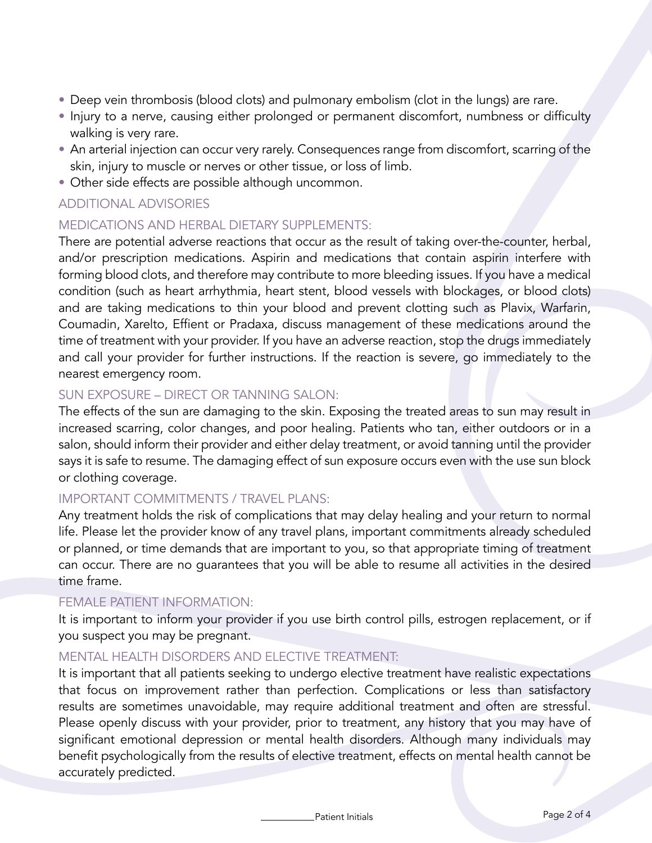- Deep vein thrombosis (blood clots) and pulmonary embolism (clot in the lungs) are rare.
- Injury to a nerve, causing either prolonged or permanent discomfort, numbness or difficulty walking is very rare.
- An arterial injection can occur very rarely. Consequences range from discomfort, scarring of the skin, injury to muscle or nerves or other tissue, or loss of limb.
- Other side effects are possible although uncommon.

# ADDITIONAL ADVISORIES

# MEDICATIONS AND HERBAL DIETARY SUPPLEMENTS:

There are potential adverse reactions that occur as the result of taking over-the-counter, herbal, and/or prescription medications. Aspirin and medications that contain aspirin interfere with forming blood clots, and therefore may contribute to more bleeding issues. If you have a medical condition (such as heart arrhythmia, heart stent, blood vessels with blockages, or blood clots) and are taking medications to thin your blood and prevent clotting such as Plavix, Warfarin, Coumadin, Xarelto, Effient or Pradaxa, discuss management of these medications around the time of treatment with your provider. If you have an adverse reaction, stop the drugs immediately and call your provider for further instructions. If the reaction is severe, go immediately to the nearest emergency room.

# SUN EXPOSURE – DIRECT OR TANNING SALON:

The effects of the sun are damaging to the skin. Exposing the treated areas to sun may result in increased scarring, color changes, and poor healing. Patients who tan, either outdoors or in a salon, should inform their provider and either delay treatment, or avoid tanning until the provider says it is safe to resume. The damaging effect of sun exposure occurs even with the use sun block or clothing coverage.

### IMPORTANT COMMITMENTS / TRAVEL PLANS:

Any treatment holds the risk of complications that may delay healing and your return to normal life. Please let the provider know of any travel plans, important commitments already scheduled or planned, or time demands that are important to you, so that appropriate timing of treatment can occur. There are no guarantees that you will be able to resume all activities in the desired time frame.

#### FEMALE PATIENT INFORMATION:

It is important to inform your provider if you use birth control pills, estrogen replacement, or if you suspect you may be pregnant.

### MENTAL HEALTH DISORDERS AND ELECTIVE TREATMENT:

It is important that all patients seeking to undergo elective treatment have realistic expectations that focus on improvement rather than perfection. Complications or less than satisfactory results are sometimes unavoidable, may require additional treatment and often are stressful. Please openly discuss with your provider, prior to treatment, any history that you may have of significant emotional depression or mental health disorders. Although many individuals may benefit psychologically from the results of elective treatment, effects on mental health cannot be accurately predicted.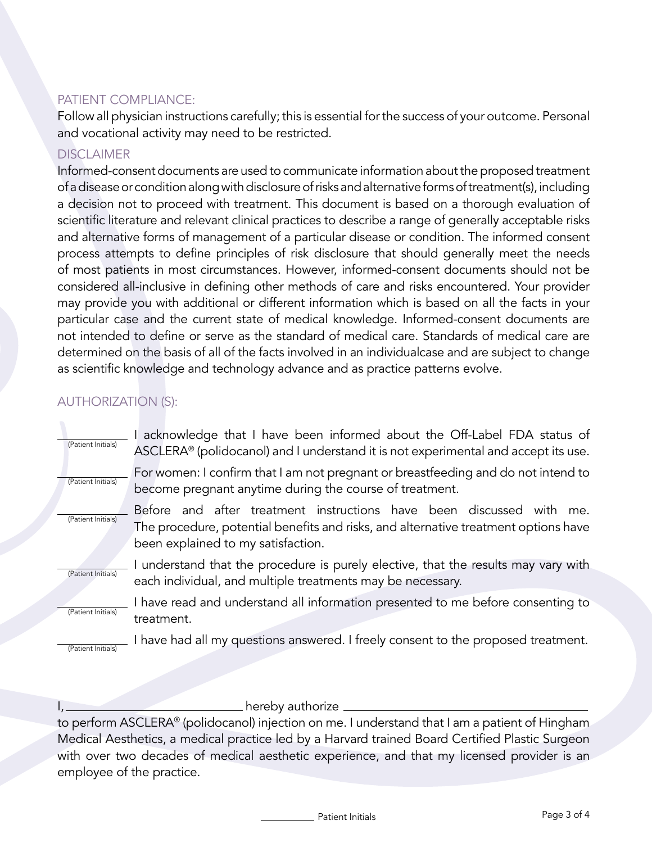# PATIENT COMPLIANCE:

Follow all physician instructions carefully; this is essential for the success of your outcome. Personal and vocational activity may need to be restricted.

# **DISCLAIMER**

Informed-consent documents are used to communicate information about the proposed treatment of a disease or condition along with disclosure of risks and alternative forms of treatment(s), including a decision not to proceed with treatment. This document is based on a thorough evaluation of scientific literature and relevant clinical practices to describe a range of generally acceptable risks and alternative forms of management of a particular disease or condition. The informed consent process attempts to define principles of risk disclosure that should generally meet the needs of most patients in most circumstances. However, informed-consent documents should not be considered all-inclusive in defining other methods of care and risks encountered. Your provider may provide you with additional or different information which is based on all the facts in your particular case and the current state of medical knowledge. Informed-consent documents are not intended to define or serve as the standard of medical care. Standards of medical care are determined on the basis of all of the facts involved in an individualcase and are subject to change as scientific knowledge and technology advance and as practice patterns evolve.

# AUTHORIZATION (S):

| (Patient Initials) | acknowledge that I have been informed about the Off-Label FDA status of<br>ASCLERA <sup>®</sup> (polidocanol) and I understand it is not experimental and accept its use.                            |
|--------------------|------------------------------------------------------------------------------------------------------------------------------------------------------------------------------------------------------|
| (Patient Initials) | For women: I confirm that I am not pregnant or breastfeeding and do not intend to<br>become pregnant anytime during the course of treatment.                                                         |
| (Patient Initials) | Before and after treatment instructions have been discussed with<br>me.<br>The procedure, potential benefits and risks, and alternative treatment options have<br>been explained to my satisfaction. |
| (Patient Initials) | understand that the procedure is purely elective, that the results may vary with<br>each individual, and multiple treatments may be necessary.                                                       |
| (Patient Initials) | I have read and understand all information presented to me before consenting to<br>treatment.                                                                                                        |
| (Patient Initials) | I have had all my questions answered. I freely consent to the proposed treatment.                                                                                                                    |

 $\_$  hereby authorize  $\_$ 

to perform ASCLERA® (polidocanol) injection on me. I understand that I am a patient of Hingham Medical Aesthetics, a medical practice led by a Harvard trained Board Certified Plastic Surgeon with over two decades of medical aesthetic experience, and that my licensed provider is an employee of the practice.